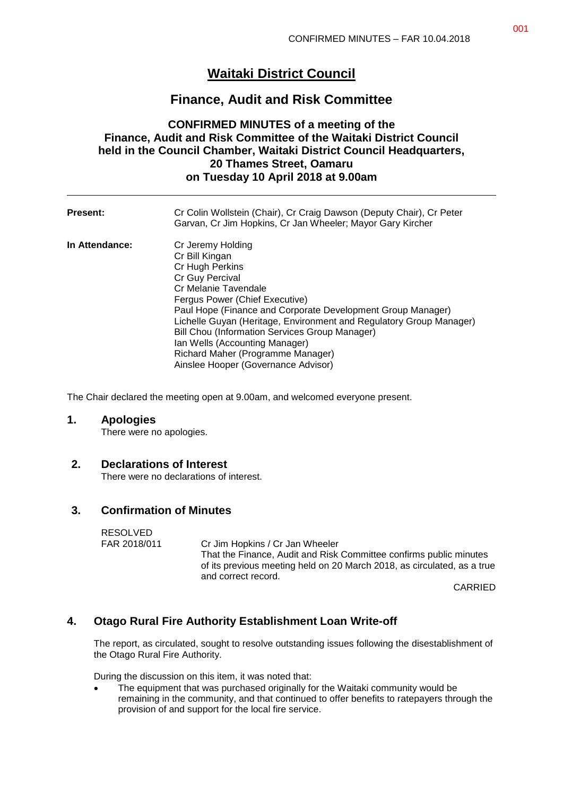# **Waitaki District Council**

## **Finance, Audit and Risk Committee**

## **CONFIRMED MINUTES of a meeting of the Finance, Audit and Risk Committee of the Waitaki District Council held in the Council Chamber, Waitaki District Council Headquarters, 20 Thames Street, Oamaru on Tuesday 10 April 2018 at 9.00am**

| <b>Present:</b> | Cr Colin Wollstein (Chair), Cr Craig Dawson (Deputy Chair), Cr Peter<br>Garvan, Cr Jim Hopkins, Cr Jan Wheeler; Mayor Gary Kircher                                                                                                                                                                                                                                                                                                        |
|-----------------|-------------------------------------------------------------------------------------------------------------------------------------------------------------------------------------------------------------------------------------------------------------------------------------------------------------------------------------------------------------------------------------------------------------------------------------------|
| In Attendance:  | Cr Jeremy Holding<br>Cr Bill Kingan<br>Cr Hugh Perkins<br>Cr Guy Percival<br>Cr Melanie Tavendale<br>Fergus Power (Chief Executive)<br>Paul Hope (Finance and Corporate Development Group Manager)<br>Lichelle Guyan (Heritage, Environment and Regulatory Group Manager)<br>Bill Chou (Information Services Group Manager)<br>Ian Wells (Accounting Manager)<br>Richard Maher (Programme Manager)<br>Ainslee Hooper (Governance Advisor) |

The Chair declared the meeting open at 9.00am, and welcomed everyone present.

#### **1. Apologies**

There were no apologies.

#### **2. Declarations of Interest**

There were no declarations of interest.

#### **3. Confirmation of Minutes**

RESOLVED<br>FAR 2018/011 Cr Jim Hopkins / Cr Jan Wheeler That the Finance, Audit and Risk Committee confirms public minutes of its previous meeting held on 20 March 2018, as circulated, as a true and correct record.

CARRIED

## **4. Otago Rural Fire Authority Establishment Loan Write-off**

The report, as circulated, sought to resolve outstanding issues following the disestablishment of the Otago Rural Fire Authority.

During the discussion on this item, it was noted that:

 The equipment that was purchased originally for the Waitaki community would be remaining in the community, and that continued to offer benefits to ratepayers through the provision of and support for the local fire service.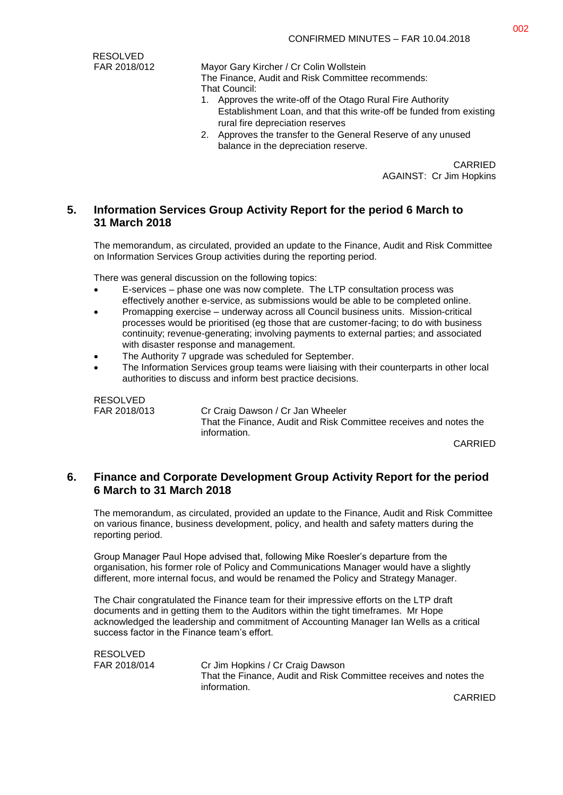RESOLVED

FAR 2018/012 Mayor Gary Kircher / Cr Colin Wollstein

The Finance, Audit and Risk Committee recommends: That Council:

- 1. Approves the write-off of the Otago Rural Fire Authority Establishment Loan, and that this write-off be funded from existing rural fire depreciation reserves
- 2. Approves the transfer to the General Reserve of any unused balance in the depreciation reserve.

CARRIED AGAINST: Cr Jim Hopkins

### **5. Information Services Group Activity Report for the period 6 March to 31 March 2018**

The memorandum, as circulated, provided an update to the Finance, Audit and Risk Committee on Information Services Group activities during the reporting period.

There was general discussion on the following topics:

- E-services phase one was now complete. The LTP consultation process was effectively another e-service, as submissions would be able to be completed online.
- Promapping exercise underway across all Council business units. Mission-critical processes would be prioritised (eg those that are customer-facing; to do with business continuity; revenue-generating; involving payments to external parties; and associated with disaster response and management.
- The Authority 7 upgrade was scheduled for September.
- The Information Services group teams were liaising with their counterparts in other local authorities to discuss and inform best practice decisions.

RESOLVED

FAR 2018/013 Cr Craig Dawson / Cr Jan Wheeler That the Finance, Audit and Risk Committee receives and notes the information.

CARRIED

### **6. Finance and Corporate Development Group Activity Report for the period 6 March to 31 March 2018**

The memorandum, as circulated, provided an update to the Finance, Audit and Risk Committee on various finance, business development, policy, and health and safety matters during the reporting period.

Group Manager Paul Hope advised that, following Mike Roesler's departure from the organisation, his former role of Policy and Communications Manager would have a slightly different, more internal focus, and would be renamed the Policy and Strategy Manager.

The Chair congratulated the Finance team for their impressive efforts on the LTP draft documents and in getting them to the Auditors within the tight timeframes. Mr Hope acknowledged the leadership and commitment of Accounting Manager Ian Wells as a critical success factor in the Finance team's effort.

RESOLVED FAR 2018/014 Cr Jim Hopkins / Cr Craig Dawson That the Finance, Audit and Risk Committee receives and notes the information.

CARRIED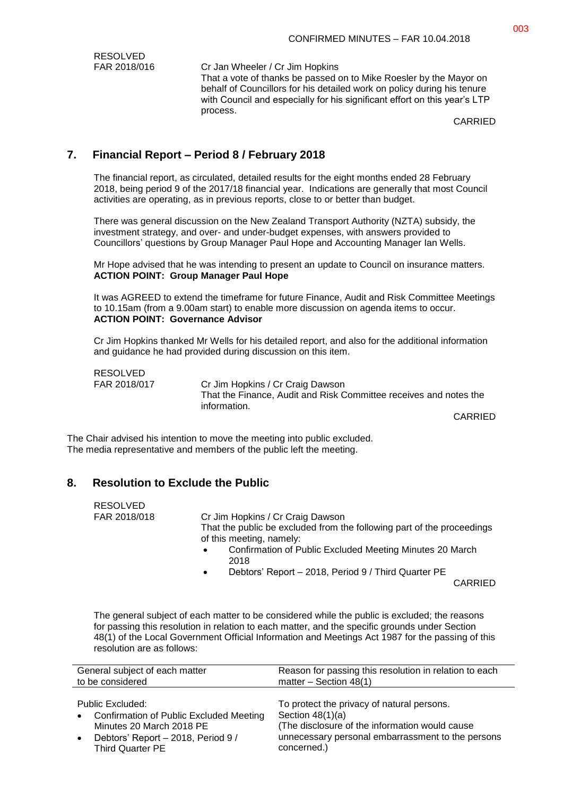| RESOLVED     |                                                                                                                                                                                                                                        |
|--------------|----------------------------------------------------------------------------------------------------------------------------------------------------------------------------------------------------------------------------------------|
| FAR 2018/016 | Cr Jan Wheeler / Cr Jim Hopkins                                                                                                                                                                                                        |
|              | That a vote of thanks be passed on to Mike Roesler by the Mayor on<br>behalf of Councillors for his detailed work on policy during his tenure<br>with Council and especially for his significant effort on this year's LTP<br>process. |
|              | <b>CARRIED</b>                                                                                                                                                                                                                         |

CARRIED

## **7. Financial Report – Period 8 / February 2018**

The financial report, as circulated, detailed results for the eight months ended 28 February 2018, being period 9 of the 2017/18 financial year. Indications are generally that most Council activities are operating, as in previous reports, close to or better than budget.

There was general discussion on the New Zealand Transport Authority (NZTA) subsidy, the investment strategy, and over- and under-budget expenses, with answers provided to Councillors' questions by Group Manager Paul Hope and Accounting Manager Ian Wells.

Mr Hope advised that he was intending to present an update to Council on insurance matters. **ACTION POINT: Group Manager Paul Hope**

It was AGREED to extend the timeframe for future Finance, Audit and Risk Committee Meetings to 10.15am (from a 9.00am start) to enable more discussion on agenda items to occur. **ACTION POINT: Governance Advisor**

Cr Jim Hopkins thanked Mr Wells for his detailed report, and also for the additional information and guidance he had provided during discussion on this item.

RESOLVED

FAR 2018/017 Cr Jim Hopkins / Cr Craig Dawson That the Finance, Audit and Risk Committee receives and notes the information.

CARRIED

The Chair advised his intention to move the meeting into public excluded. The media representative and members of the public left the meeting.

## **8. Resolution to Exclude the Public**

RESOLVED FAR 2018/018 Cr Jim Hopkins / Cr Craig Dawson That the public be excluded from the following part of the proceedings of this meeting, namely:

- Confirmation of Public Excluded Meeting Minutes 20 March 2018
- Debtors' Report 2018, Period 9 / Third Quarter PE

CARRIED

The general subject of each matter to be considered while the public is excluded; the reasons for passing this resolution in relation to each matter, and the specific grounds under Section 48(1) of the Local Government Official Information and Meetings Act 1987 for the passing of this resolution are as follows:

| General subject of each matter                                                                                                                                        | Reason for passing this resolution in relation to each                                                                                                                                 |
|-----------------------------------------------------------------------------------------------------------------------------------------------------------------------|----------------------------------------------------------------------------------------------------------------------------------------------------------------------------------------|
| to be considered                                                                                                                                                      | matter – Section $48(1)$                                                                                                                                                               |
| Public Excluded:<br><b>Confirmation of Public Excluded Meeting</b><br>$\bullet$<br>Minutes 20 March 2018 PE<br>Debtors' Report - 2018, Period 9 /<br>Third Quarter PE | To protect the privacy of natural persons.<br>Section $48(1)(a)$<br>(The disclosure of the information would cause<br>unnecessary personal embarrassment to the persons<br>concerned.) |